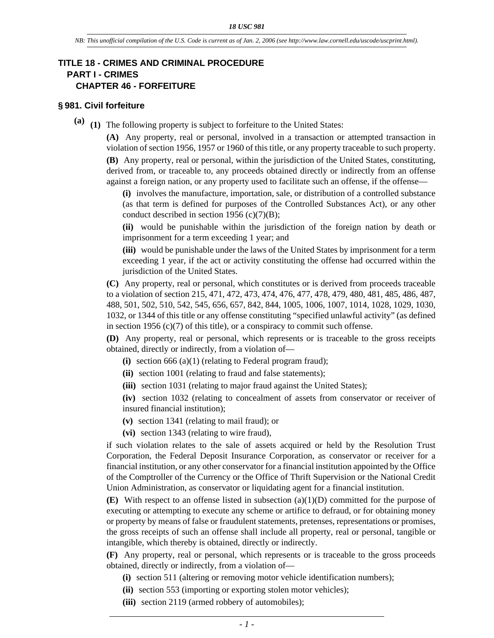# **TITLE 18 - CRIMES AND CRIMINAL PROCEDURE PART I - CRIMES CHAPTER 46 - FORFEITURE**

#### **§ 981. Civil forfeiture**

**(a) (1)** The following property is subject to forfeiture to the United States:

**(A)** Any property, real or personal, involved in a transaction or attempted transaction in violation of section 1956, 1957 or 1960 of this title, or any property traceable to such property.

**(B)** Any property, real or personal, within the jurisdiction of the United States, constituting, derived from, or traceable to, any proceeds obtained directly or indirectly from an offense against a foreign nation, or any property used to facilitate such an offense, if the offense—

**(i)** involves the manufacture, importation, sale, or distribution of a controlled substance (as that term is defined for purposes of the Controlled Substances Act), or any other conduct described in section 1956 (c) $(7)(B)$ ;

**(ii)** would be punishable within the jurisdiction of the foreign nation by death or imprisonment for a term exceeding 1 year; and

**(iii)** would be punishable under the laws of the United States by imprisonment for a term exceeding 1 year, if the act or activity constituting the offense had occurred within the jurisdiction of the United States.

**(C)** Any property, real or personal, which constitutes or is derived from proceeds traceable to a violation of section 215, 471, 472, 473, 474, 476, 477, 478, 479, 480, 481, 485, 486, 487, 488, 501, 502, 510, 542, 545, 656, 657, 842, 844, 1005, 1006, 1007, 1014, 1028, 1029, 1030, 1032, or 1344 of this title or any offense constituting "specified unlawful activity" (as defined in section 1956  $(c)(7)$  of this title), or a conspiracy to commit such offense.

**(D)** Any property, real or personal, which represents or is traceable to the gross receipts obtained, directly or indirectly, from a violation of—

- **(i)** section 666 (a)(1) (relating to Federal program fraud);
- **(ii)** section 1001 (relating to fraud and false statements);
- **(iii)** section 1031 (relating to major fraud against the United States);

**(iv)** section 1032 (relating to concealment of assets from conservator or receiver of insured financial institution);

- **(v)** section 1341 (relating to mail fraud); or
- **(vi)** section 1343 (relating to wire fraud),

if such violation relates to the sale of assets acquired or held by the Resolution Trust Corporation, the Federal Deposit Insurance Corporation, as conservator or receiver for a financial institution, or any other conservator for a financial institution appointed by the Office of the Comptroller of the Currency or the Office of Thrift Supervision or the National Credit Union Administration, as conservator or liquidating agent for a financial institution.

**(E)** With respect to an offense listed in subsection (a)(1)(D) committed for the purpose of executing or attempting to execute any scheme or artifice to defraud, or for obtaining money or property by means of false or fraudulent statements, pretenses, representations or promises, the gross receipts of such an offense shall include all property, real or personal, tangible or intangible, which thereby is obtained, directly or indirectly.

**(F)** Any property, real or personal, which represents or is traceable to the gross proceeds obtained, directly or indirectly, from a violation of—

- **(i)** section 511 (altering or removing motor vehicle identification numbers);
- **(ii)** section 553 (importing or exporting stolen motor vehicles);
- **(iii)** section 2119 (armed robbery of automobiles);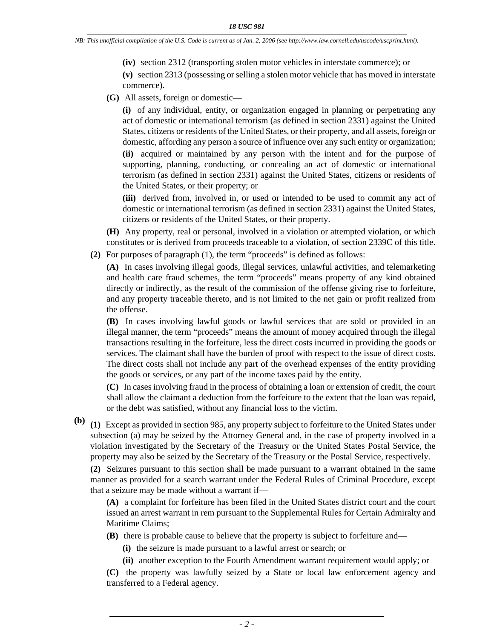**(iv)** section 2312 (transporting stolen motor vehicles in interstate commerce); or

**(v)** section 2313 (possessing or selling a stolen motor vehicle that has moved in interstate commerce).

**(G)** All assets, foreign or domestic—

**(i)** of any individual, entity, or organization engaged in planning or perpetrating any act of domestic or international terrorism (as defined in section 2331) against the United States, citizens or residents of the United States, or their property, and all assets, foreign or domestic, affording any person a source of influence over any such entity or organization;

**(ii)** acquired or maintained by any person with the intent and for the purpose of supporting, planning, conducting, or concealing an act of domestic or international terrorism (as defined in section 2331) against the United States, citizens or residents of the United States, or their property; or

**(iii)** derived from, involved in, or used or intended to be used to commit any act of domestic or international terrorism (as defined in section 2331) against the United States, citizens or residents of the United States, or their property.

**(H)** Any property, real or personal, involved in a violation or attempted violation, or which constitutes or is derived from proceeds traceable to a violation, of section 2339C of this title.

**(2)** For purposes of paragraph (1), the term "proceeds" is defined as follows:

**(A)** In cases involving illegal goods, illegal services, unlawful activities, and telemarketing and health care fraud schemes, the term "proceeds" means property of any kind obtained directly or indirectly, as the result of the commission of the offense giving rise to forfeiture, and any property traceable thereto, and is not limited to the net gain or profit realized from the offense.

**(B)** In cases involving lawful goods or lawful services that are sold or provided in an illegal manner, the term "proceeds" means the amount of money acquired through the illegal transactions resulting in the forfeiture, less the direct costs incurred in providing the goods or services. The claimant shall have the burden of proof with respect to the issue of direct costs. The direct costs shall not include any part of the overhead expenses of the entity providing the goods or services, or any part of the income taxes paid by the entity.

**(C)** In cases involving fraud in the process of obtaining a loan or extension of credit, the court shall allow the claimant a deduction from the forfeiture to the extent that the loan was repaid, or the debt was satisfied, without any financial loss to the victim.

**(b) (1)** Except as provided in section 985, any property subject to forfeiture to the United States under subsection (a) may be seized by the Attorney General and, in the case of property involved in a violation investigated by the Secretary of the Treasury or the United States Postal Service, the property may also be seized by the Secretary of the Treasury or the Postal Service, respectively.

**(2)** Seizures pursuant to this section shall be made pursuant to a warrant obtained in the same manner as provided for a search warrant under the Federal Rules of Criminal Procedure, except that a seizure may be made without a warrant if—

**(A)** a complaint for forfeiture has been filed in the United States district court and the court issued an arrest warrant in rem pursuant to the Supplemental Rules for Certain Admiralty and Maritime Claims;

- **(B)** there is probable cause to believe that the property is subject to forfeiture and—
	- **(i)** the seizure is made pursuant to a lawful arrest or search; or
	- **(ii)** another exception to the Fourth Amendment warrant requirement would apply; or

**(C)** the property was lawfully seized by a State or local law enforcement agency and transferred to a Federal agency.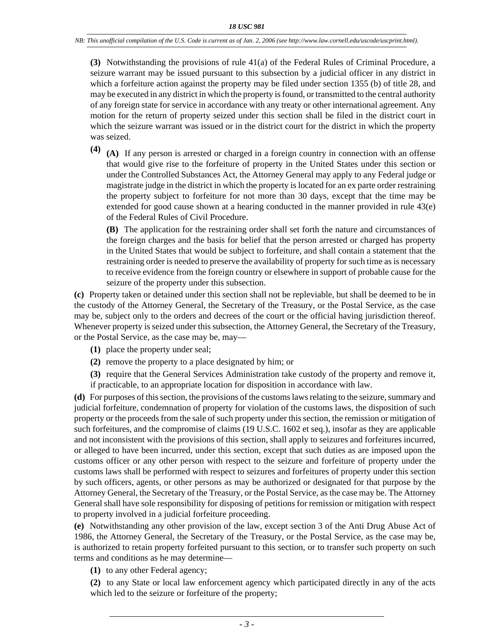**(3)** Notwithstanding the provisions of rule 41(a) of the Federal Rules of Criminal Procedure, a seizure warrant may be issued pursuant to this subsection by a judicial officer in any district in which a forfeiture action against the property may be filed under section 1355 (b) of title 28, and may be executed in any district in which the property is found, or transmitted to the central authority of any foreign state for service in accordance with any treaty or other international agreement. Any motion for the return of property seized under this section shall be filed in the district court in which the seizure warrant was issued or in the district court for the district in which the property was seized.

**(4) (A)** If any person is arrested or charged in a foreign country in connection with an offense that would give rise to the forfeiture of property in the United States under this section or under the Controlled Substances Act, the Attorney General may apply to any Federal judge or magistrate judge in the district in which the property is located for an ex parte order restraining the property subject to forfeiture for not more than 30 days, except that the time may be extended for good cause shown at a hearing conducted in the manner provided in rule 43(e) of the Federal Rules of Civil Procedure.

**(B)** The application for the restraining order shall set forth the nature and circumstances of the foreign charges and the basis for belief that the person arrested or charged has property in the United States that would be subject to forfeiture, and shall contain a statement that the restraining order is needed to preserve the availability of property for such time as is necessary to receive evidence from the foreign country or elsewhere in support of probable cause for the seizure of the property under this subsection.

**(c)** Property taken or detained under this section shall not be repleviable, but shall be deemed to be in the custody of the Attorney General, the Secretary of the Treasury, or the Postal Service, as the case may be, subject only to the orders and decrees of the court or the official having jurisdiction thereof. Whenever property is seized under this subsection, the Attorney General, the Secretary of the Treasury, or the Postal Service, as the case may be, may—

- **(1)** place the property under seal;
- **(2)** remove the property to a place designated by him; or
- **(3)** require that the General Services Administration take custody of the property and remove it,
- if practicable, to an appropriate location for disposition in accordance with law.

**(d)** For purposes of this section, the provisions of the customs laws relating to the seizure, summary and judicial forfeiture, condemnation of property for violation of the customs laws, the disposition of such property or the proceeds from the sale of such property under this section, the remission or mitigation of such forfeitures, and the compromise of claims (19 U.S.C. 1602 et seq.), insofar as they are applicable and not inconsistent with the provisions of this section, shall apply to seizures and forfeitures incurred, or alleged to have been incurred, under this section, except that such duties as are imposed upon the customs officer or any other person with respect to the seizure and forfeiture of property under the customs laws shall be performed with respect to seizures and forfeitures of property under this section by such officers, agents, or other persons as may be authorized or designated for that purpose by the Attorney General, the Secretary of the Treasury, or the Postal Service, as the case may be. The Attorney General shall have sole responsibility for disposing of petitions for remission or mitigation with respect to property involved in a judicial forfeiture proceeding.

**(e)** Notwithstanding any other provision of the law, except section 3 of the Anti Drug Abuse Act of 1986, the Attorney General, the Secretary of the Treasury, or the Postal Service, as the case may be, is authorized to retain property forfeited pursuant to this section, or to transfer such property on such terms and conditions as he may determine—

**(1)** to any other Federal agency;

**(2)** to any State or local law enforcement agency which participated directly in any of the acts which led to the seizure or forfeiture of the property;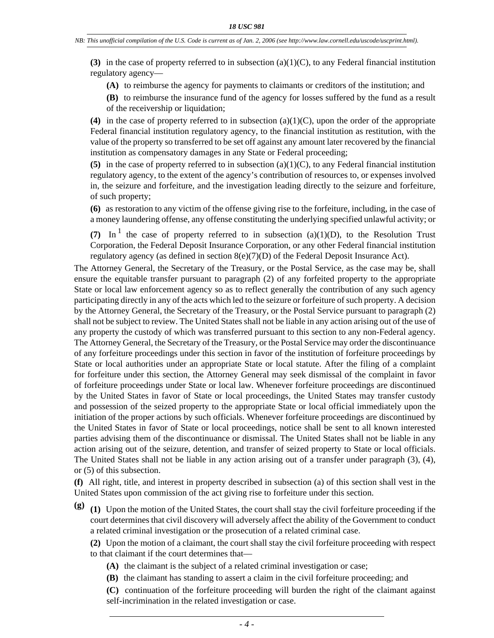**(3)** in the case of property referred to in subsection (a)(1)(C), to any Federal financial institution regulatory agency—

- **(A)** to reimburse the agency for payments to claimants or creditors of the institution; and
- **(B)** to reimburse the insurance fund of the agency for losses suffered by the fund as a result of the receivership or liquidation;

(4) in the case of property referred to in subsection  $(a)(1)(C)$ , upon the order of the appropriate Federal financial institution regulatory agency, to the financial institution as restitution, with the value of the property so transferred to be set off against any amount later recovered by the financial institution as compensatory damages in any State or Federal proceeding;

**(5)** in the case of property referred to in subsection (a)(1)(C), to any Federal financial institution regulatory agency, to the extent of the agency's contribution of resources to, or expenses involved in, the seizure and forfeiture, and the investigation leading directly to the seizure and forfeiture, of such property;

**(6)** as restoration to any victim of the offense giving rise to the forfeiture, including, in the case of a money laundering offense, any offense constituting the underlying specified unlawful activity; or

(7) In<sup>1</sup> the case of property referred to in subsection (a)(1)(D), to the Resolution Trust Corporation, the Federal Deposit Insurance Corporation, or any other Federal financial institution regulatory agency (as defined in section  $8(e)(7)(D)$  of the Federal Deposit Insurance Act).

The Attorney General, the Secretary of the Treasury, or the Postal Service, as the case may be, shall ensure the equitable transfer pursuant to paragraph (2) of any forfeited property to the appropriate State or local law enforcement agency so as to reflect generally the contribution of any such agency participating directly in any of the acts which led to the seizure or forfeiture of such property. A decision by the Attorney General, the Secretary of the Treasury, or the Postal Service pursuant to paragraph (2) shall not be subject to review. The United States shall not be liable in any action arising out of the use of any property the custody of which was transferred pursuant to this section to any non-Federal agency. The Attorney General, the Secretary of the Treasury, or the Postal Service may order the discontinuance of any forfeiture proceedings under this section in favor of the institution of forfeiture proceedings by State or local authorities under an appropriate State or local statute. After the filing of a complaint for forfeiture under this section, the Attorney General may seek dismissal of the complaint in favor of forfeiture proceedings under State or local law. Whenever forfeiture proceedings are discontinued by the United States in favor of State or local proceedings, the United States may transfer custody and possession of the seized property to the appropriate State or local official immediately upon the initiation of the proper actions by such officials. Whenever forfeiture proceedings are discontinued by the United States in favor of State or local proceedings, notice shall be sent to all known interested parties advising them of the discontinuance or dismissal. The United States shall not be liable in any action arising out of the seizure, detention, and transfer of seized property to State or local officials. The United States shall not be liable in any action arising out of a transfer under paragraph (3), (4), or (5) of this subsection.

**(f)** All right, title, and interest in property described in subsection (a) of this section shall vest in the United States upon commission of the act giving rise to forfeiture under this section.

**(g) (1)** Upon the motion of the United States, the court shall stay the civil forfeiture proceeding if the court determines that civil discovery will adversely affect the ability of the Government to conduct a related criminal investigation or the prosecution of a related criminal case.

**(2)** Upon the motion of a claimant, the court shall stay the civil forfeiture proceeding with respect to that claimant if the court determines that—

- **(A)** the claimant is the subject of a related criminal investigation or case;
- **(B)** the claimant has standing to assert a claim in the civil forfeiture proceeding; and

**(C)** continuation of the forfeiture proceeding will burden the right of the claimant against self-incrimination in the related investigation or case.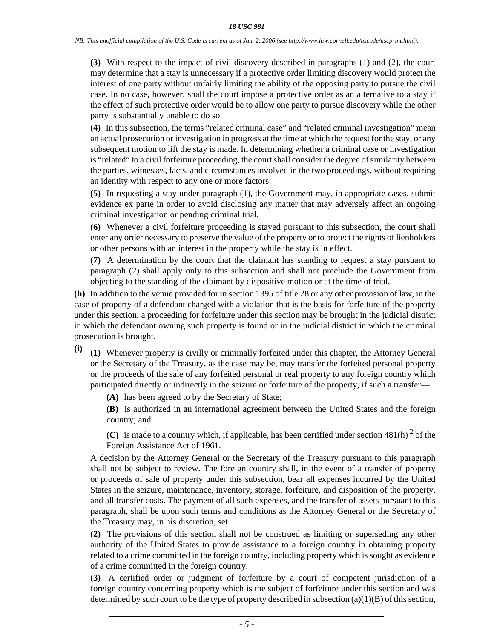**(3)** With respect to the impact of civil discovery described in paragraphs (1) and (2), the court may determine that a stay is unnecessary if a protective order limiting discovery would protect the interest of one party without unfairly limiting the ability of the opposing party to pursue the civil case. In no case, however, shall the court impose a protective order as an alternative to a stay if the effect of such protective order would be to allow one party to pursue discovery while the other party is substantially unable to do so.

**(4)** In this subsection, the terms "related criminal case" and "related criminal investigation" mean an actual prosecution or investigation in progress at the time at which the request for the stay, or any subsequent motion to lift the stay is made. In determining whether a criminal case or investigation is "related" to a civil forfeiture proceeding, the court shall consider the degree of similarity between the parties, witnesses, facts, and circumstances involved in the two proceedings, without requiring an identity with respect to any one or more factors.

**(5)** In requesting a stay under paragraph (1), the Government may, in appropriate cases, submit evidence ex parte in order to avoid disclosing any matter that may adversely affect an ongoing criminal investigation or pending criminal trial.

**(6)** Whenever a civil forfeiture proceeding is stayed pursuant to this subsection, the court shall enter any order necessary to preserve the value of the property or to protect the rights of lienholders or other persons with an interest in the property while the stay is in effect.

**(7)** A determination by the court that the claimant has standing to request a stay pursuant to paragraph (2) shall apply only to this subsection and shall not preclude the Government from objecting to the standing of the claimant by dispositive motion or at the time of trial.

**(h)** In addition to the venue provided for in section 1395 of title 28 or any other provision of law, in the case of property of a defendant charged with a violation that is the basis for forfeiture of the property under this section, a proceeding for forfeiture under this section may be brought in the judicial district in which the defendant owning such property is found or in the judicial district in which the criminal prosecution is brought.

- **(i) (1)** Whenever property is civilly or criminally forfeited under this chapter, the Attorney General or the Secretary of the Treasury, as the case may be, may transfer the forfeited personal property or the proceeds of the sale of any forfeited personal or real property to any foreign country which participated directly or indirectly in the seizure or forfeiture of the property, if such a transfer—
	- **(A)** has been agreed to by the Secretary of State;
	- **(B)** is authorized in an international agreement between the United States and the foreign country; and

**(C)** is made to a country which, if applicable, has been certified under section  $481(h)^2$  of the Foreign Assistance Act of 1961.

A decision by the Attorney General or the Secretary of the Treasury pursuant to this paragraph shall not be subject to review. The foreign country shall, in the event of a transfer of property or proceeds of sale of property under this subsection, bear all expenses incurred by the United States in the seizure, maintenance, inventory, storage, forfeiture, and disposition of the property, and all transfer costs. The payment of all such expenses, and the transfer of assets pursuant to this paragraph, shall be upon such terms and conditions as the Attorney General or the Secretary of the Treasury may, in his discretion, set.

**(2)** The provisions of this section shall not be construed as limiting or superseding any other authority of the United States to provide assistance to a foreign country in obtaining property related to a crime committed in the foreign country, including property which is sought as evidence of a crime committed in the foreign country.

**(3)** A certified order or judgment of forfeiture by a court of competent jurisdiction of a foreign country concerning property which is the subject of forfeiture under this section and was determined by such court to be the type of property described in subsection  $(a)(1)(B)$  of this section,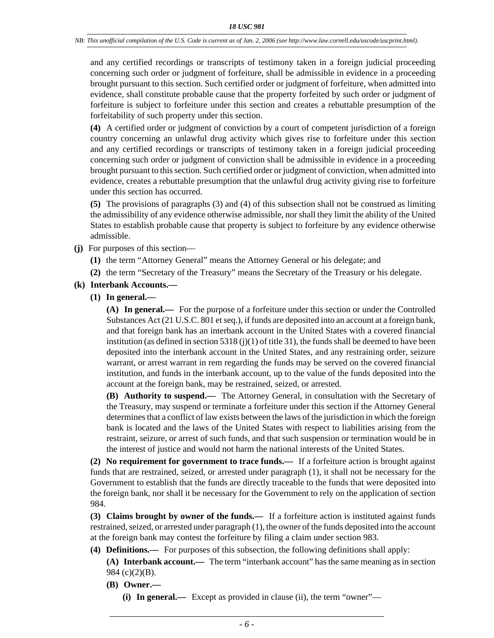and any certified recordings or transcripts of testimony taken in a foreign judicial proceeding concerning such order or judgment of forfeiture, shall be admissible in evidence in a proceeding brought pursuant to this section. Such certified order or judgment of forfeiture, when admitted into evidence, shall constitute probable cause that the property forfeited by such order or judgment of forfeiture is subject to forfeiture under this section and creates a rebuttable presumption of the forfeitability of such property under this section.

**(4)** A certified order or judgment of conviction by a court of competent jurisdiction of a foreign country concerning an unlawful drug activity which gives rise to forfeiture under this section and any certified recordings or transcripts of testimony taken in a foreign judicial proceeding concerning such order or judgment of conviction shall be admissible in evidence in a proceeding brought pursuant to this section. Such certified order or judgment of conviction, when admitted into evidence, creates a rebuttable presumption that the unlawful drug activity giving rise to forfeiture under this section has occurred.

**(5)** The provisions of paragraphs (3) and (4) of this subsection shall not be construed as limiting the admissibility of any evidence otherwise admissible, nor shall they limit the ability of the United States to establish probable cause that property is subject to forfeiture by any evidence otherwise admissible.

- **(j)** For purposes of this section—
	- **(1)** the term "Attorney General" means the Attorney General or his delegate; and
	- **(2)** the term "Secretary of the Treasury" means the Secretary of the Treasury or his delegate.

### **(k) Interbank Accounts.—**

**(1) In general.—**

**(A) In general.—** For the purpose of a forfeiture under this section or under the Controlled Substances Act (21 U.S.C. 801 et seq.), if funds are deposited into an account at a foreign bank, and that foreign bank has an interbank account in the United States with a covered financial institution (as defined in section 5318 (j)(1) of title 31), the funds shall be deemed to have been deposited into the interbank account in the United States, and any restraining order, seizure warrant, or arrest warrant in rem regarding the funds may be served on the covered financial institution, and funds in the interbank account, up to the value of the funds deposited into the account at the foreign bank, may be restrained, seized, or arrested.

**(B) Authority to suspend.—** The Attorney General, in consultation with the Secretary of the Treasury, may suspend or terminate a forfeiture under this section if the Attorney General determines that a conflict of law exists between the laws of the jurisdiction in which the foreign bank is located and the laws of the United States with respect to liabilities arising from the restraint, seizure, or arrest of such funds, and that such suspension or termination would be in the interest of justice and would not harm the national interests of the United States.

**(2) No requirement for government to trace funds.—** If a forfeiture action is brought against funds that are restrained, seized, or arrested under paragraph (1), it shall not be necessary for the Government to establish that the funds are directly traceable to the funds that were deposited into the foreign bank, nor shall it be necessary for the Government to rely on the application of section 984.

**(3) Claims brought by owner of the funds.—** If a forfeiture action is instituted against funds restrained, seized, or arrested under paragraph (1), the owner of the funds deposited into the account at the foreign bank may contest the forfeiture by filing a claim under section 983.

**(4) Definitions.—** For purposes of this subsection, the following definitions shall apply:

**(A) Interbank account.—** The term "interbank account" has the same meaning as in section 984 (c)(2)(B).

- **(B) Owner.—**
	- **(i) In general.—** Except as provided in clause (ii), the term "owner"—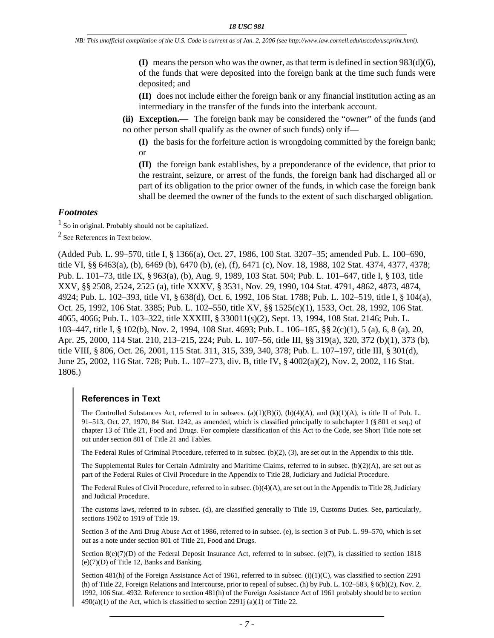**(I)** means the person who was the owner, as that term is defined in section 983(d)(6), of the funds that were deposited into the foreign bank at the time such funds were deposited; and

**(II)** does not include either the foreign bank or any financial institution acting as an intermediary in the transfer of the funds into the interbank account.

**(ii) Exception.—** The foreign bank may be considered the "owner" of the funds (and no other person shall qualify as the owner of such funds) only if—

**(I)** the basis for the forfeiture action is wrongdoing committed by the foreign bank; or

**(II)** the foreign bank establishes, by a preponderance of the evidence, that prior to the restraint, seizure, or arrest of the funds, the foreign bank had discharged all or part of its obligation to the prior owner of the funds, in which case the foreign bank shall be deemed the owner of the funds to the extent of such discharged obligation.

### *Footnotes*

<sup>1</sup> So in original. Probably should not be capitalized.

 $2$  See References in Text below.

(Added Pub. L. 99–570, title I, § 1366(a), Oct. 27, 1986, 100 Stat. 3207–35; amended Pub. L. 100–690, title VI, §§ 6463(a), (b), 6469 (b), 6470 (b), (e), (f), 6471 (c), Nov. 18, 1988, 102 Stat. 4374, 4377, 4378; Pub. L. 101–73, title IX, § 963(a), (b), Aug. 9, 1989, 103 Stat. 504; Pub. L. 101–647, title I, § 103, title XXV, §§ 2508, 2524, 2525 (a), title XXXV, § 3531, Nov. 29, 1990, 104 Stat. 4791, 4862, 4873, 4874, 4924; Pub. L. 102–393, title VI, § 638(d), Oct. 6, 1992, 106 Stat. 1788; Pub. L. 102–519, title I, § 104(a), Oct. 25, 1992, 106 Stat. 3385; Pub. L. 102–550, title XV, §§ 1525(c)(1), 1533, Oct. 28, 1992, 106 Stat. 4065, 4066; Pub. L. 103–322, title XXXIII, § 330011(s)(2), Sept. 13, 1994, 108 Stat. 2146; Pub. L. 103–447, title I, § 102(b), Nov. 2, 1994, 108 Stat. 4693; Pub. L. 106–185, §§ 2(c)(1), 5 (a), 6, 8 (a), 20, Apr. 25, 2000, 114 Stat. 210, 213–215, 224; Pub. L. 107–56, title III, §§ 319(a), 320, 372 (b)(1), 373 (b), title VIII, § 806, Oct. 26, 2001, 115 Stat. 311, 315, 339, 340, 378; Pub. L. 107–197, title III, § 301(d), June 25, 2002, 116 Stat. 728; Pub. L. 107–273, div. B, title IV, § 4002(a)(2), Nov. 2, 2002, 116 Stat. 1806.)

# **References in Text**

The Controlled Substances Act, referred to in subsecs. (a)(1)(B)(i), (b)(4)(A), and (k)(1)(A), is title II of Pub. L. 91–513, Oct. 27, 1970, 84 Stat. 1242, as amended, which is classified principally to subchapter I (§ 801 et seq.) of chapter 13 of Title 21, Food and Drugs. For complete classification of this Act to the Code, see Short Title note set out under section 801 of Title 21 and Tables.

The Federal Rules of Criminal Procedure, referred to in subsec. (b)(2), (3), are set out in the Appendix to this title.

The Supplemental Rules for Certain Admiralty and Maritime Claims, referred to in subsec. (b)(2)(A), are set out as part of the Federal Rules of Civil Procedure in the Appendix to Title 28, Judiciary and Judicial Procedure.

The Federal Rules of Civil Procedure, referred to in subsec. (b)(4)(A), are set out in the Appendix to Title 28, Judiciary and Judicial Procedure.

The customs laws, referred to in subsec. (d), are classified generally to Title 19, Customs Duties. See, particularly, sections 1902 to 1919 of Title 19.

Section 3 of the Anti Drug Abuse Act of 1986, referred to in subsec. (e), is section 3 of Pub. L. 99–570, which is set out as a note under section 801 of Title 21, Food and Drugs.

Section  $8(e)(7)(D)$  of the Federal Deposit Insurance Act, referred to in subsec. (e)(7), is classified to section 1818 (e)(7)(D) of Title 12, Banks and Banking.

Section 481(h) of the Foreign Assistance Act of 1961, referred to in subsec. (i)(1)(C), was classified to section 2291 (h) of Title 22, Foreign Relations and Intercourse, prior to repeal of subsec. (h) by Pub. L. 102–583, § 6(b)(2), Nov. 2, 1992, 106 Stat. 4932. Reference to section 481(h) of the Foreign Assistance Act of 1961 probably should be to section  $490(a)(1)$  of the Act, which is classified to section 2291j (a)(1) of Title 22.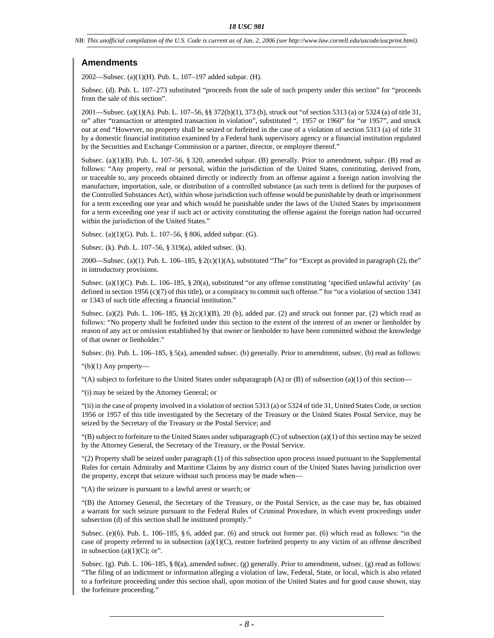## **Amendments**

2002—Subsec. (a)(1)(H). Pub. L. 107–197 added subpar. (H).

Subsec. (d). Pub. L. 107–273 substituted "proceeds from the sale of such property under this section" for "proceeds from the sale of this section".

2001—Subsec. (a)(1)(A). Pub. L. 107–56, §§ 372(b)(1), 373 (b), struck out "of section 5313 (a) or 5324 (a) of title 31, or" after "transaction or attempted transaction in violation", substituted ", 1957 or 1960" for "or 1957", and struck out at end "However, no property shall be seized or forfeited in the case of a violation of section 5313 (a) of title 31 by a domestic financial institution examined by a Federal bank supervisory agency or a financial institution regulated by the Securities and Exchange Commission or a partner, director, or employee thereof."

Subsec. (a)(1)(B). Pub. L. 107–56, § 320, amended subpar. (B) generally. Prior to amendment, subpar. (B) read as follows: "Any property, real or personal, within the jurisdiction of the United States, constituting, derived from, or traceable to, any proceeds obtained directly or indirectly from an offense against a foreign nation involving the manufacture, importation, sale, or distribution of a controlled substance (as such term is defined for the purposes of the Controlled Substances Act), within whose jurisdiction such offense would be punishable by death or imprisonment for a term exceeding one year and which would be punishable under the laws of the United States by imprisonment for a term exceeding one year if such act or activity constituting the offense against the foreign nation had occurred within the jurisdiction of the United States."

Subsec. (a)(1)(G). Pub. L. 107–56, § 806, added subpar. (G).

Subsec. (k). Pub. L. 107–56, § 319(a), added subsec. (k).

2000—Subsec. (a)(1). Pub. L. 106–185, § 2(c)(1)(A), substituted "The" for "Except as provided in paragraph (2), the" in introductory provisions.

Subsec. (a)(1)(C). Pub. L. 106–185, § 20(a), substituted "or any offense constituting 'specified unlawful activity' (as defined in section 1956 (c)(7) of this title), or a conspiracy to commit such offense." for "or a violation of section 1341 or 1343 of such title affecting a financial institution."

Subsec. (a)(2). Pub. L. 106–185, §§ 2(c)(1)(B), 20 (b), added par. (2) and struck out former par. (2) which read as follows: "No property shall be forfeited under this section to the extent of the interest of an owner or lienholder by reason of any act or omission established by that owner or lienholder to have been committed without the knowledge of that owner or lienholder."

Subsec. (b). Pub. L. 106–185, § 5(a), amended subsec. (b) generally. Prior to amendment, subsec. (b) read as follows:

"(b)(1) Any property—

"(A) subject to forfeiture to the United States under subparagraph (A) or (B) of subsection (a)(1) of this section—

"(i) may be seized by the Attorney General; or

"(ii) in the case of property involved in a violation of section 5313 (a) or 5324 of title 31, United States Code, or section 1956 or 1957 of this title investigated by the Secretary of the Treasury or the United States Postal Service, may be seized by the Secretary of the Treasury or the Postal Service; and

"(B) subject to forfeiture to the United States under subparagraph  $(C)$  of subsection (a)(1) of this section may be seized by the Attorney General, the Secretary of the Treasury, or the Postal Service.

"(2) Property shall be seized under paragraph (1) of this subsection upon process issued pursuant to the Supplemental Rules for certain Admiralty and Maritime Claims by any district court of the United States having jurisdiction over the property, except that seizure without such process may be made when—

"(A) the seizure is pursuant to a lawful arrest or search; or

"(B) the Attorney General, the Secretary of the Treasury, or the Postal Service, as the case may be, has obtained a warrant for such seizure pursuant to the Federal Rules of Criminal Procedure, in which event proceedings under subsection (d) of this section shall be instituted promptly."

Subsec. (e)(6). Pub. L.  $106-185$ ,  $\S$  6, added par. (6) and struck out former par. (6) which read as follows: "in the case of property referred to in subsection (a)(1)(C), restore forfeited property to any victim of an offense described in subsection  $(a)(1)(C)$ ; or".

Subsec. (g). Pub. L. 106–185, § 8(a), amended subsec. (g) generally. Prior to amendment, subsec. (g) read as follows: "The filing of an indictment or information alleging a violation of law, Federal, State, or local, which is also related to a forfeiture proceeding under this section shall, upon motion of the United States and for good cause shown, stay the forfeiture proceeding."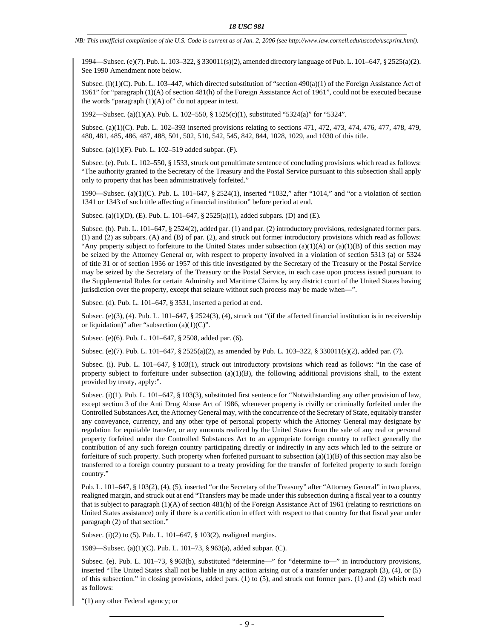1994—Subsec. (e)(7). Pub. L. 103–322, § 330011(s)(2), amended directory language of Pub. L. 101–647, § 2525(a)(2). See 1990 Amendment note below.

Subsec. (i)(1)(C). Pub. L. 103–447, which directed substitution of "section  $490(a)(1)$  of the Foreign Assistance Act of 1961" for "paragraph (1)(A) of section 481(h) of the Foreign Assistance Act of 1961", could not be executed because the words "paragraph  $(1)(A)$  of" do not appear in text.

1992—Subsec. (a)(1)(A). Pub. L. 102–550, § 1525(c)(1), substituted "5324(a)" for "5324".

Subsec. (a)(1)(C). Pub. L. 102–393 inserted provisions relating to sections 471, 472, 473, 474, 476, 477, 478, 479, 480, 481, 485, 486, 487, 488, 501, 502, 510, 542, 545, 842, 844, 1028, 1029, and 1030 of this title.

Subsec. (a)(1)(F). Pub. L. 102–519 added subpar. (F).

Subsec. (e). Pub. L. 102–550, § 1533, struck out penultimate sentence of concluding provisions which read as follows: "The authority granted to the Secretary of the Treasury and the Postal Service pursuant to this subsection shall apply only to property that has been administratively forfeited."

1990—Subsec. (a)(1)(C). Pub. L. 101–647, § 2524(1), inserted "1032," after "1014," and "or a violation of section 1341 or 1343 of such title affecting a financial institution" before period at end.

Subsec. (a)(1)(D), (E). Pub. L. 101–647, § 2525(a)(1), added subpars. (D) and (E).

Subsec. (b). Pub. L. 101–647, § 2524(2), added par. (1) and par. (2) introductory provisions, redesignated former pars. (1) and (2) as subpars. (A) and (B) of par. (2), and struck out former introductory provisions which read as follows: "Any property subject to forfeiture to the United States under subsection (a)(1)(A) or (a)(1)(B) of this section may be seized by the Attorney General or, with respect to property involved in a violation of section 5313 (a) or 5324 of title 31 or of section 1956 or 1957 of this title investigated by the Secretary of the Treasury or the Postal Service may be seized by the Secretary of the Treasury or the Postal Service, in each case upon process issued pursuant to the Supplemental Rules for certain Admiralty and Maritime Claims by any district court of the United States having jurisdiction over the property, except that seizure without such process may be made when—".

Subsec. (d). Pub. L. 101–647, § 3531, inserted a period at end.

Subsec. (e)(3), (4). Pub. L. 101–647, § 2524(3), (4), struck out "(if the affected financial institution is in receivership or liquidation)" after "subsection  $(a)(1)(C)$ ".

Subsec. (e)(6). Pub. L. 101–647, § 2508, added par. (6).

Subsec. (e)(7). Pub. L. 101–647, § 2525(a)(2), as amended by Pub. L. 103–322, § 330011(s)(2), added par. (7).

Subsec. (i). Pub. L. 101–647, § 103(1), struck out introductory provisions which read as follows: "In the case of property subject to forfeiture under subsection  $(a)(1)(B)$ , the following additional provisions shall, to the extent provided by treaty, apply:".

Subsec. (i)(1). Pub. L. 101–647, § 103(3), substituted first sentence for "Notwithstanding any other provision of law, except section 3 of the Anti Drug Abuse Act of 1986, whenever property is civilly or criminally forfeited under the Controlled Substances Act, the Attorney General may, with the concurrence of the Secretary of State, equitably transfer any conveyance, currency, and any other type of personal property which the Attorney General may designate by regulation for equitable transfer, or any amounts realized by the United States from the sale of any real or personal property forfeited under the Controlled Substances Act to an appropriate foreign country to reflect generally the contribution of any such foreign country participating directly or indirectly in any acts which led to the seizure or forfeiture of such property. Such property when forfeited pursuant to subsection  $(a)(1)(B)$  of this section may also be transferred to a foreign country pursuant to a treaty providing for the transfer of forfeited property to such foreign country."

Pub. L. 101–647, § 103(2), (4), (5), inserted "or the Secretary of the Treasury" after "Attorney General" in two places, realigned margin, and struck out at end "Transfers may be made under this subsection during a fiscal year to a country that is subject to paragraph (1)(A) of section 481(h) of the Foreign Assistance Act of 1961 (relating to restrictions on United States assistance) only if there is a certification in effect with respect to that country for that fiscal year under paragraph (2) of that section."

Subsec. (i)(2) to (5). Pub. L. 101–647, § 103(2), realigned margins.

1989—Subsec. (a)(1)(C). Pub. L. 101–73, § 963(a), added subpar. (C).

Subsec. (e). Pub. L. 101–73, § 963(b), substituted "determine—" for "determine to—" in introductory provisions, inserted "The United States shall not be liable in any action arising out of a transfer under paragraph (3), (4), or (5) of this subsection." in closing provisions, added pars. (1) to (5), and struck out former pars. (1) and (2) which read as follows:

"(1) any other Federal agency; or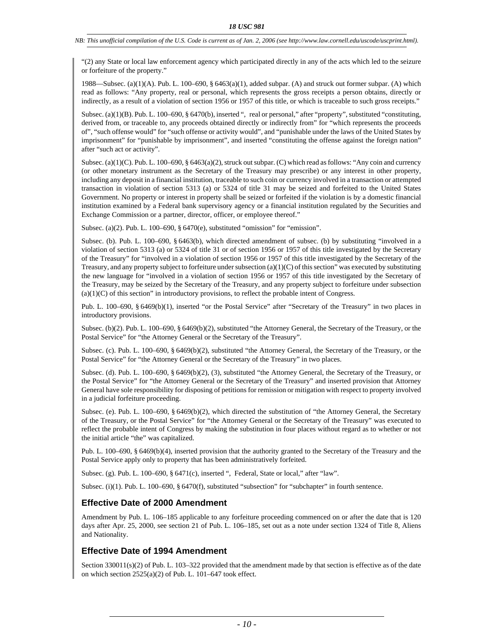"(2) any State or local law enforcement agency which participated directly in any of the acts which led to the seizure or forfeiture of the property."

1988—Subsec. (a)(1)(A). Pub. L. 100–690, § 6463(a)(1), added subpar. (A) and struck out former subpar. (A) which read as follows: "Any property, real or personal, which represents the gross receipts a person obtains, directly or indirectly, as a result of a violation of section 1956 or 1957 of this title, or which is traceable to such gross receipts."

Subsec. (a)(1)(B). Pub. L. 100–690, § 6470(b), inserted ", real or personal," after "property", substituted "constituting, derived from, or traceable to, any proceeds obtained directly or indirectly from" for "which represents the proceeds of", "such offense would" for "such offense or activity would", and "punishable under the laws of the United States by imprisonment" for "punishable by imprisonment", and inserted "constituting the offense against the foreign nation" after "such act or activity".

Subsec. (a)(1)(C). Pub. L. 100–690, § 6463(a)(2), struck out subpar. (C) which read as follows: "Any coin and currency (or other monetary instrument as the Secretary of the Treasury may prescribe) or any interest in other property, including any deposit in a financial institution, traceable to such coin or currency involved in a transaction or attempted transaction in violation of section 5313 (a) or 5324 of title 31 may be seized and forfeited to the United States Government. No property or interest in property shall be seized or forfeited if the violation is by a domestic financial institution examined by a Federal bank supervisory agency or a financial institution regulated by the Securities and Exchange Commission or a partner, director, officer, or employee thereof."

Subsec. (a)(2). Pub. L.  $100-690$ ,  $§$   $6470(e)$ , substituted "omission" for "emission".

Subsec. (b). Pub. L. 100–690, § 6463(b), which directed amendment of subsec. (b) by substituting "involved in a violation of section 5313 (a) or 5324 of title 31 or of section 1956 or 1957 of this title investigated by the Secretary of the Treasury" for "involved in a violation of section 1956 or 1957 of this title investigated by the Secretary of the Treasury, and any property subject to forfeiture under subsection (a)(1)(C) of this section" was executed by substituting the new language for "involved in a violation of section 1956 or 1957 of this title investigated by the Secretary of the Treasury, may be seized by the Secretary of the Treasury, and any property subject to forfeiture under subsection  $(a)(1)(C)$  of this section" in introductory provisions, to reflect the probable intent of Congress.

Pub. L. 100–690, § 6469(b)(1), inserted "or the Postal Service" after "Secretary of the Treasury" in two places in introductory provisions.

Subsec. (b)(2). Pub. L. 100–690, § 6469(b)(2), substituted "the Attorney General, the Secretary of the Treasury, or the Postal Service" for "the Attorney General or the Secretary of the Treasury".

Subsec. (c). Pub. L. 100–690, § 6469(b)(2), substituted "the Attorney General, the Secretary of the Treasury, or the Postal Service" for "the Attorney General or the Secretary of the Treasury" in two places.

Subsec. (d). Pub. L. 100–690, § 6469(b)(2), (3), substituted "the Attorney General, the Secretary of the Treasury, or the Postal Service" for "the Attorney General or the Secretary of the Treasury" and inserted provision that Attorney General have sole responsibility for disposing of petitions for remission or mitigation with respect to property involved in a judicial forfeiture proceeding.

Subsec. (e). Pub. L. 100–690, § 6469(b)(2), which directed the substitution of "the Attorney General, the Secretary of the Treasury, or the Postal Service" for "the Attorney General or the Secretary of the Treasury" was executed to reflect the probable intent of Congress by making the substitution in four places without regard as to whether or not the initial article "the" was capitalized.

Pub. L. 100–690, § 6469(b)(4), inserted provision that the authority granted to the Secretary of the Treasury and the Postal Service apply only to property that has been administratively forfeited.

Subsec. (g). Pub. L. 100–690, § 6471(c), inserted ", Federal, State or local," after "law".

Subsec. (i)(1). Pub. L. 100–690, § 6470(f), substituted "subsection" for "subchapter" in fourth sentence.

### **Effective Date of 2000 Amendment**

Amendment by Pub. L. 106–185 applicable to any forfeiture proceeding commenced on or after the date that is 120 days after Apr. 25, 2000, see section 21 of Pub. L. 106–185, set out as a note under section 1324 of Title 8, Aliens and Nationality.

### **Effective Date of 1994 Amendment**

Section 330011(s)(2) of Pub. L. 103–322 provided that the amendment made by that section is effective as of the date on which section 2525(a)(2) of Pub. L. 101–647 took effect.